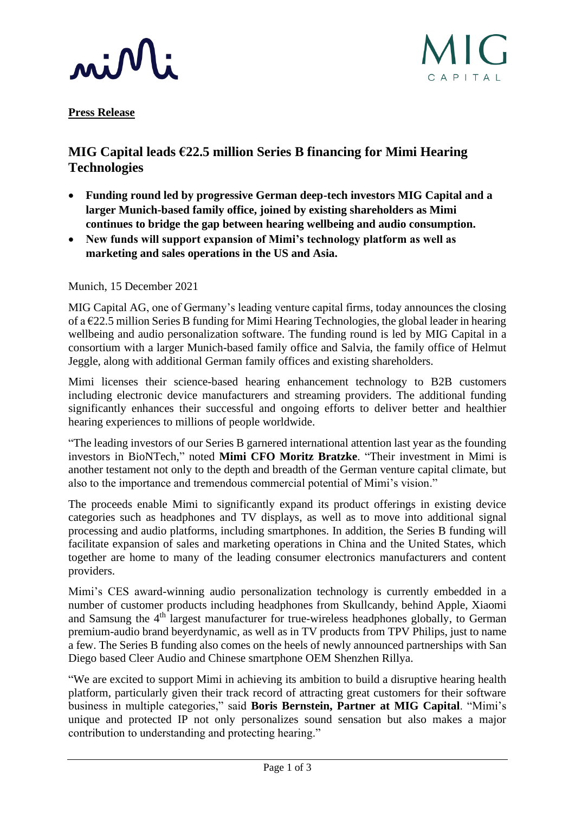



**Press Release**

## **MIG Capital leads €22.5 million Series B financing for Mimi Hearing Technologies**

- **Funding round led by progressive German deep-tech investors MIG Capital and a larger Munich-based family office, joined by existing shareholders as Mimi continues to bridge the gap between hearing wellbeing and audio consumption.**
- **New funds will support expansion of Mimi's technology platform as well as marketing and sales operations in the US and Asia.**

Munich, 15 December 2021

MIG Capital AG, one of Germany's leading venture capital firms, today announces the closing of a €22.5 million Series B funding for Mimi Hearing Technologies, the global leader in hearing wellbeing and audio personalization software. The funding round is led by MIG Capital in a consortium with a larger Munich-based family office and Salvia, the family office of Helmut Jeggle, along with additional German family offices and existing shareholders.

Mimi licenses their science-based hearing enhancement technology to B2B customers including electronic device manufacturers and streaming providers. The additional funding significantly enhances their successful and ongoing efforts to deliver better and healthier hearing experiences to millions of people worldwide.

"The leading investors of our Series B garnered international attention last year as the founding investors in BioNTech," noted **Mimi CFO Moritz Bratzke**. "Their investment in Mimi is another testament not only to the depth and breadth of the German venture capital climate, but also to the importance and tremendous commercial potential of Mimi's vision."

The proceeds enable Mimi to significantly expand its product offerings in existing device categories such as headphones and TV displays, as well as to move into additional signal processing and audio platforms, including smartphones. In addition, the Series B funding will facilitate expansion of sales and marketing operations in China and the United States, which together are home to many of the leading consumer electronics manufacturers and content providers.

Mimi's CES award-winning audio personalization technology is currently embedded in a number of customer products including headphones from Skullcandy, behind Apple, Xiaomi and Samsung the  $4<sup>th</sup>$  largest manufacturer for true-wireless headphones globally, to German premium-audio brand beyerdynamic, as well as in TV products from TPV Philips, just to name a few. The Series B funding also comes on the heels of newly announced partnerships with San Diego based Cleer Audio and Chinese smartphone OEM Shenzhen Rillya.

"We are excited to support Mimi in achieving its ambition to build a disruptive hearing health platform, particularly given their track record of attracting great customers for their software business in multiple categories," said **Boris Bernstein, Partner at MIG Capital**. "Mimi's unique and protected IP not only personalizes sound sensation but also makes a major contribution to understanding and protecting hearing."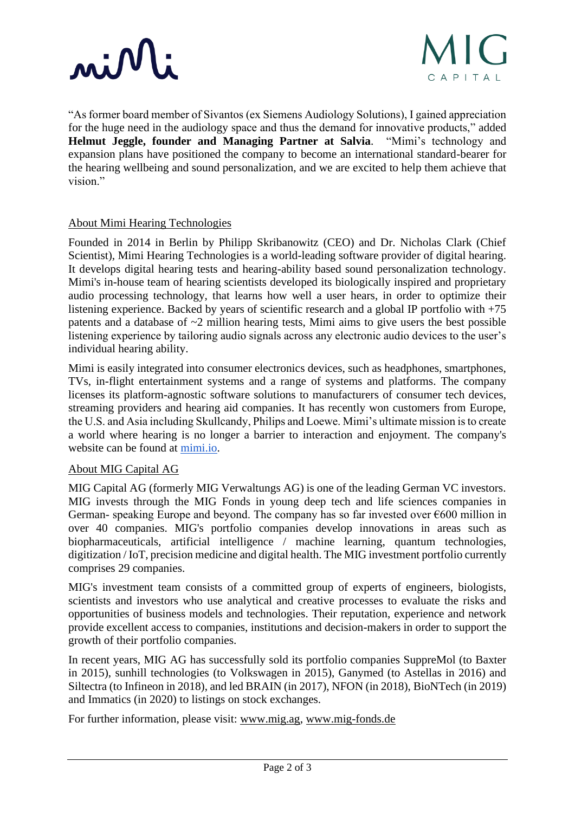# minli



"As former board member of Sivantos (ex Siemens Audiology Solutions), I gained appreciation for the huge need in the audiology space and thus the demand for innovative products," added **Helmut Jeggle, founder and Managing Partner at Salvia**. "Mimi's technology and expansion plans have positioned the company to become an international standard-bearer for the hearing wellbeing and sound personalization, and we are excited to help them achieve that vision"

#### About Mimi Hearing Technologies

Founded in 2014 in Berlin by Philipp Skribanowitz (CEO) and Dr. Nicholas Clark (Chief Scientist), Mimi Hearing Technologies is a world-leading software provider of digital hearing. It develops digital hearing tests and hearing-ability based sound personalization technology. Mimi's in-house team of hearing scientists developed its biologically inspired and proprietary audio processing technology, that learns how well a user hears, in order to optimize their listening experience. Backed by years of scientific research and a global IP portfolio with +75 patents and a database of  $\sim$ 2 million hearing tests, Mimi aims to give users the best possible listening experience by tailoring audio signals across any electronic audio devices to the user's individual hearing ability.

Mimi is easily integrated into consumer electronics devices, such as headphones, smartphones, TVs, in-flight entertainment systems and a range of systems and platforms. The company licenses its platform-agnostic software solutions to manufacturers of consumer tech devices, streaming providers and hearing aid companies. It has recently won customers from Europe, the U.S. and Asia including Skullcandy, Philips and Loewe. Mimi's ultimate mission is to create a world where hearing is no longer a barrier to interaction and enjoyment. The company's website can be found at [mimi.io.](https://mimi.io/)

#### About MIG Capital AG

MIG Capital AG (formerly MIG Verwaltungs AG) is one of the leading German VC investors. MIG invests through the MIG Fonds in young deep tech and life sciences companies in German- speaking Europe and beyond. The company has so far invested over  $\epsilon$ 600 million in over 40 companies. MIG's portfolio companies develop innovations in areas such as biopharmaceuticals, artificial intelligence / machine learning, quantum technologies, digitization / IoT, precision medicine and digital health. The MIG investment portfolio currently comprises 29 companies.

MIG's investment team consists of a committed group of experts of engineers, biologists, scientists and investors who use analytical and creative processes to evaluate the risks and opportunities of business models and technologies. Their reputation, experience and network provide excellent access to companies, institutions and decision-makers in order to support the growth of their portfolio companies.

In recent years, MIG AG has successfully sold its portfolio companies SuppreMol (to Baxter in 2015), sunhill technologies (to Volkswagen in 2015), Ganymed (to Astellas in 2016) and Siltectra (to Infineon in 2018), and led BRAIN (in 2017), NFON (in 2018), BioNTech (in 2019) and Immatics (in 2020) to listings on stock exchanges.

For further information, please visit: [www.mig.ag,](https://www.mig.ag/en/) [www.mig-fonds.de](https://www.mig-fonds.de/home.html)